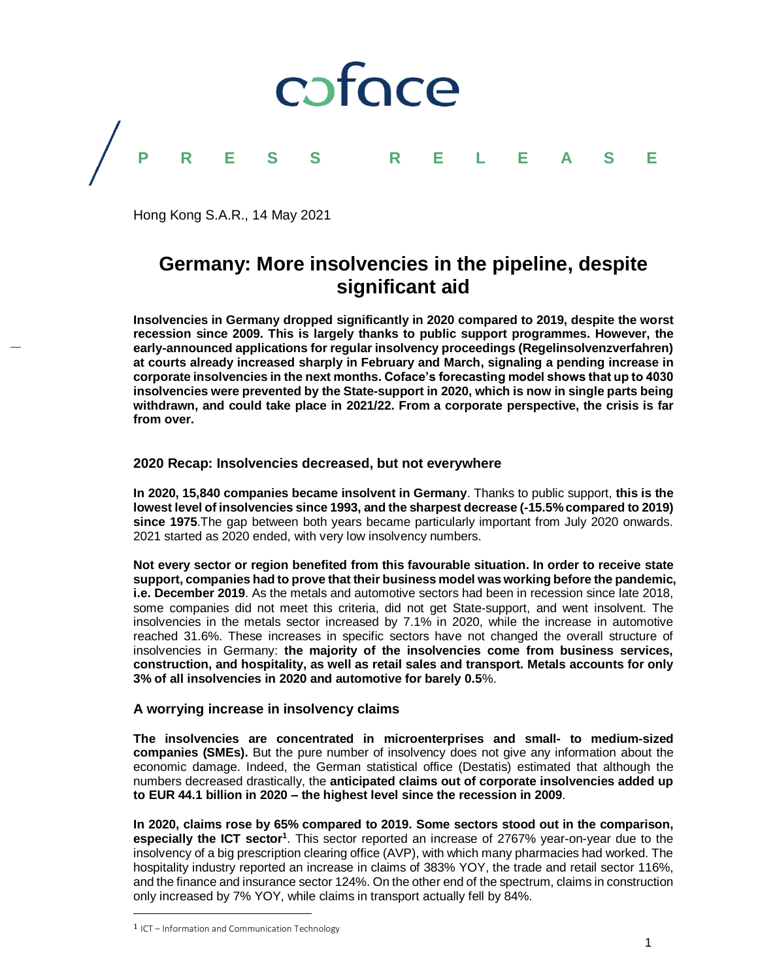

Hong Kong S.A.R., 14 May 2021

# **Germany: More insolvencies in the pipeline, despite significant aid**

**Insolvencies in Germany dropped significantly in 2020 compared to 2019, despite the worst recession since 2009. This is largely thanks to public support programmes. However, the early-announced applications for regular insolvency proceedings (Regelinsolvenzverfahren) at courts already increased sharply in February and March, signaling a pending increase in corporate insolvencies in the next months. Coface's forecasting model shows that up to 4030 insolvencies were prevented by the State-support in 2020, which is now in single parts being withdrawn, and could take place in 2021/22. From a corporate perspective, the crisis is far from over.**

# **2020 Recap: Insolvencies decreased, but not everywhere**

**In 2020, 15,840 companies became insolvent in Germany**. Thanks to public support, **this is the lowest level of insolvencies since 1993, and the sharpest decrease (-15.5% compared to 2019) since 1975**.The gap between both years became particularly important from July 2020 onwards. 2021 started as 2020 ended, with very low insolvency numbers.

**Not every sector or region benefited from this favourable situation. In order to receive state support, companies had to prove that their business model was working before the pandemic, i.e. December 2019**. As the metals and automotive sectors had been in recession since late 2018, some companies did not meet this criteria, did not get State-support, and went insolvent. The insolvencies in the metals sector increased by 7.1% in 2020, while the increase in automotive reached 31.6%. These increases in specific sectors have not changed the overall structure of insolvencies in Germany: **the majority of the insolvencies come from business services, construction, and hospitality, as well as retail sales and transport. Metals accounts for only 3% of all insolvencies in 2020 and automotive for barely 0.5**%.

# **A worrying increase in insolvency claims**

**The insolvencies are concentrated in microenterprises and small- to medium-sized companies (SMEs).** But the pure number of insolvency does not give any information about the economic damage. Indeed, the German statistical office (Destatis) estimated that although the numbers decreased drastically, the **anticipated claims out of corporate insolvencies added up to EUR 44.1 billion in 2020 – the highest level since the recession in 2009**.

**In 2020, claims rose by 65% compared to 2019. Some sectors stood out in the comparison,**  especially the ICT sector<sup>1</sup>. This sector reported an increase of 2767% year-on-year due to the insolvency of a big prescription clearing office (AVP), with which many pharmacies had worked. The hospitality industry reported an increase in claims of 383% YOY, the trade and retail sector 116%, and the finance and insurance sector 124%. On the other end of the spectrum, claims in construction only increased by 7% YOY, while claims in transport actually fell by 84%.

 $\overline{\phantom{a}}$ 

<sup>1</sup> ICT – Information and Communication Technology